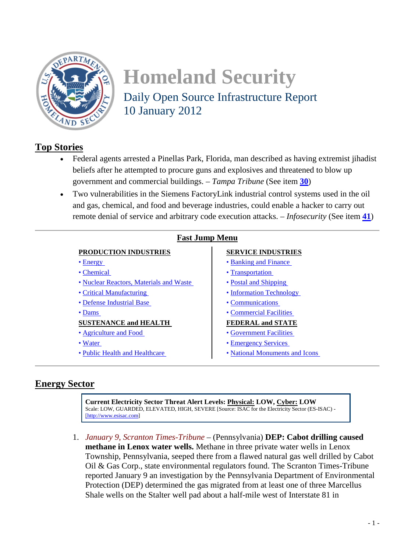<span id="page-0-1"></span>

# **Homeland Security**  Daily Open Source Infrastructure Report 10 January 2012

# **Top Stories**

- Federal agents arrested a Pinellas Park, Florida, man described as having extremist jihadist beliefs after he attempted to procure guns and explosives and threatened to blow up government and commercial buildings. – *Tampa Tribune* (See item **[30](#page-12-0)**)
- Two vulnerabilities in the Siemens FactoryLink industrial control systems used in the oil and gas, chemical, and food and beverage industries, could enable a hacker to carry out remote denial of service and arbitrary code execution attacks. – *Infosecurity* (See item **[41](#page-16-0)**)

| <b>PRODUCTION INDUSTRIES</b>            | <b>SERVICE INDUSTRIES</b>      |
|-----------------------------------------|--------------------------------|
| $\bullet$ Energy                        | • Banking and Finance          |
| • Chemical                              | • Transportation               |
| • Nuclear Reactors, Materials and Waste | • Postal and Shipping          |
| • Critical Manufacturing                | • Information Technology       |
| • Defense Industrial Base               | • Communications               |
| $\bullet$ Dams                          | • Commercial Facilities        |
| <b>SUSTENANCE and HEALTH</b>            | <b>FEDERAL and STATE</b>       |
| • Agriculture and Food                  | • Government Facilities        |
| • Water                                 | • Emergency Services           |
| • Public Health and Healthcare          | • National Monuments and Icons |

# <span id="page-0-0"></span>**Energy Sector**

**Current Electricity Sector Threat Alert Levels: Physical: LOW, Cyber: LOW** Scale: LOW, GUARDED, ELEVATED, HIGH, SEVERE [Source: ISAC for the Electricity Sector (ES-ISAC) - [\[http://www.esisac.com\]](http://www.esisac.com/)

1. *January 9, Scranton Times-Tribune* – (Pennsylvania) **DEP: Cabot drilling caused methane in Lenox water wells.** Methane in three private water wells in Lenox Township, Pennsylvania, seeped there from a flawed natural gas well drilled by Cabot Oil & Gas Corp., state environmental regulators found. The Scranton Times-Tribune reported January 9 an investigation by the Pennsylvania Department of Environmental Protection (DEP) determined the gas migrated from at least one of three Marcellus Shale wells on the Stalter well pad about a half-mile west of Interstate 81 in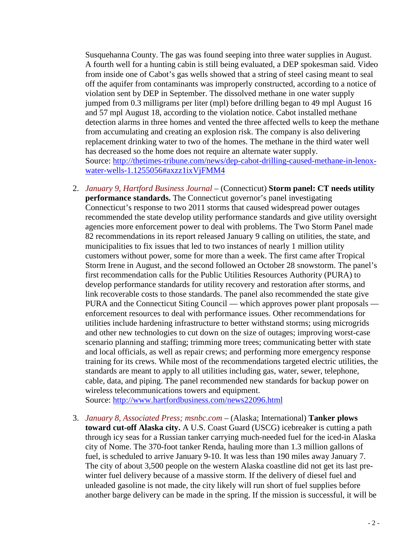Susquehanna County. The gas was found seeping into three water supplies in August. A fourth well for a hunting cabin is still being evaluated, a DEP spokesman said. Video from inside one of Cabot's gas wells showed that a string of steel casing meant to seal off the aquifer from contaminants was improperly constructed, according to a notice of violation sent by DEP in September. The dissolved methane in one water supply jumped from 0.3 milligrams per liter (mpl) before drilling began to 49 mpl August 16 and 57 mpl August 18, according to the violation notice. Cabot installed methane detection alarms in three homes and vented the three affected wells to keep the methane from accumulating and creating an explosion risk. The company is also delivering replacement drinking water to two of the homes. The methane in the third water well has decreased so the home does not require an alternate water supply. Source: [http://thetimes-tribune.com/news/dep-cabot-drilling-caused-methane-in-lenox](http://thetimes-tribune.com/news/dep-cabot-drilling-caused-methane-in-lenox-water-wells-1.1255056#axzz1ixVjFMM4)[water-wells-1.1255056#axzz1ixVjFMM4](http://thetimes-tribune.com/news/dep-cabot-drilling-caused-methane-in-lenox-water-wells-1.1255056#axzz1ixVjFMM4)

<span id="page-1-1"></span>2. *January 9, Hartford Business Journal* – (Connecticut) **Storm panel: CT needs utility performance standards.** The Connecticut governor's panel investigating Connecticut's response to two 2011 storms that caused widespread power outages recommended the state develop utility performance standards and give utility oversight agencies more enforcement power to deal with problems. The Two Storm Panel made 82 recommendations in its report released January 9 calling on utilities, the state, and municipalities to fix issues that led to two instances of nearly 1 million utility customers without power, some for more than a week. The first came after Tropical Storm Irene in August, and the second followed an October 28 snowstorm. The panel's first recommendation calls for the Public Utilities Resources Authority (PURA) to develop performance standards for utility recovery and restoration after storms, and link recoverable costs to those standards. The panel also recommended the state give PURA and the Connecticut Siting Council — which approves power plant proposals enforcement resources to deal with performance issues. Other recommendations for utilities include hardening infrastructure to better withstand storms; using microgrids and other new technologies to cut down on the size of outages; improving worst-case scenario planning and staffing; trimming more trees; communicating better with state and local officials, as well as repair crews; and performing more emergency response training for its crews. While most of the recommendations targeted electric utilities, the standards are meant to apply to all utilities including gas, water, sewer, telephone, cable, data, and piping. The panel recommended new standards for backup power on wireless telecommunications towers and equipment.

Source:<http://www.hartfordbusiness.com/news22096.html>

<span id="page-1-0"></span>3. *January 8, Associated Press; msnbc.com* – (Alaska; International) **Tanker plows toward cut-off Alaska city.** A U.S. Coast Guard (USCG) icebreaker is cutting a path through icy seas for a Russian tanker carrying much-needed fuel for the iced-in Alaska city of Nome. The 370-foot tanker Renda, hauling more than 1.3 million gallons of fuel, is scheduled to arrive January 9-10. It was less than 190 miles away January 7. The city of about 3,500 people on the western Alaska coastline did not get its last prewinter fuel delivery because of a massive storm. If the delivery of diesel fuel and unleaded gasoline is not made, the city likely will run short of fuel supplies before another barge delivery can be made in the spring. If the mission is successful, it will be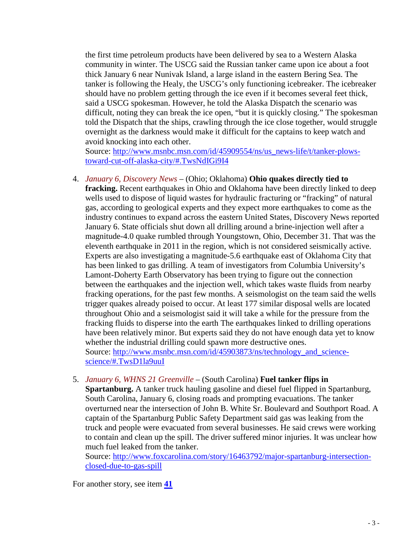the first time petroleum products have been delivered by sea to a Western Alaska community in winter. The USCG said the Russian tanker came upon ice about a foot thick January 6 near Nunivak Island, a large island in the eastern Bering Sea. The tanker is following the Healy, the USCG's only functioning icebreaker. The icebreaker should have no problem getting through the ice even if it becomes several feet thick, said a USCG spokesman. However, he told the Alaska Dispatch the scenario was difficult, noting they can break the ice open, "but it is quickly closing." The spokesman told the Dispatch that the ships, crawling through the ice close together, would struggle overnight as the darkness would make it difficult for the captains to keep watch and avoid knocking into each other.

Source: [http://www.msnbc.msn.com/id/45909554/ns/us\\_news-life/t/tanker-plows](http://www.msnbc.msn.com/id/45909554/ns/us_news-life/t/tanker-plows-toward-cut-off-alaska-city/#.TwsNdIGi9I4)[toward-cut-off-alaska-city/#.TwsNdIGi9I4](http://www.msnbc.msn.com/id/45909554/ns/us_news-life/t/tanker-plows-toward-cut-off-alaska-city/#.TwsNdIGi9I4)

4. *January 6, Discovery News* – (Ohio; Oklahoma) **Ohio quakes directly tied to** 

**fracking.** Recent earthquakes in Ohio and Oklahoma have been directly linked to deep wells used to dispose of liquid wastes for hydraulic fracturing or "fracking" of natural gas, according to geological experts and they expect more earthquakes to come as the industry continues to expand across the eastern United States, Discovery News reported January 6. State officials shut down all drilling around a brine-injection well after a magnitude-4.0 quake rumbled through Youngstown, Ohio, December 31. That was the eleventh earthquake in 2011 in the region, which is not considered seismically active. Experts are also investigating a magnitude-5.6 earthquake east of Oklahoma City that has been linked to gas drilling. A team of investigators from Columbia University's Lamont-Doherty Earth Observatory has been trying to figure out the connection between the earthquakes and the injection well, which takes waste fluids from nearby fracking operations, for the past few months. A seismologist on the team said the wells trigger quakes already poised to occur. At least 177 similar disposal wells are located throughout Ohio and a seismologist said it will take a while for the pressure from the fracking fluids to disperse into the earth The earthquakes linked to drilling operations have been relatively minor. But experts said they do not have enough data yet to know whether the industrial drilling could spawn more destructive ones. Source: [http://www.msnbc.msn.com/id/45903873/ns/technology\\_and\\_science](http://www.msnbc.msn.com/id/45903873/ns/technology_and_science-science/#.TwsD1la9uuI)[science/#.TwsD1la9uuI](http://www.msnbc.msn.com/id/45903873/ns/technology_and_science-science/#.TwsD1la9uuI)

<span id="page-2-0"></span>5. *January 6, WHNS 21 Greenville* – (South Carolina) **Fuel tanker flips in** 

**Spartanburg.** A tanker truck hauling gasoline and diesel fuel flipped in Spartanburg, South Carolina, January 6, closing roads and prompting evacuations. The tanker overturned near the intersection of John B. White Sr. Boulevard and Southport Road. A captain of the Spartanburg Public Safety Department said gas was leaking from the truck and people were evacuated from several businesses. He said crews were working to contain and clean up the spill. The driver suffered minor injuries. It was unclear how much fuel leaked from the tanker.

Source: [http://www.foxcarolina.com/story/16463792/major-spartanburg-intersection](http://www.foxcarolina.com/story/16463792/major-spartanburg-intersection-closed-due-to-gas-spill)[closed-due-to-gas-spill](http://www.foxcarolina.com/story/16463792/major-spartanburg-intersection-closed-due-to-gas-spill)

For another story, see item **[41](#page-16-0)**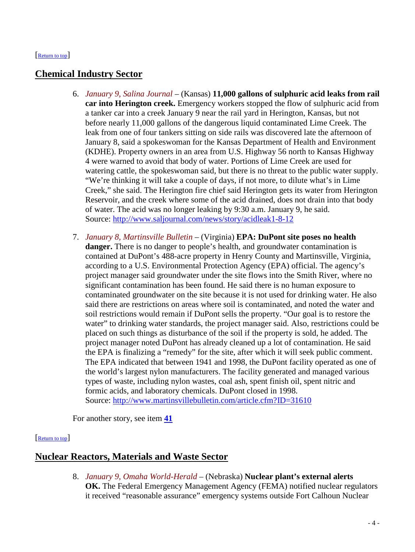#### <span id="page-3-0"></span>[\[Return to top\]](#page-0-1)

### <span id="page-3-2"></span>**Chemical Industry Sector**

- 6. *January 9, Salina Journal* (Kansas) **11,000 gallons of sulphuric acid leaks from rail car into Herington creek.** Emergency workers stopped the flow of sulphuric acid from a tanker car into a creek January 9 near the rail yard in Herington, Kansas, but not before nearly 11,000 gallons of the dangerous liquid contaminated Lime Creek. The leak from one of four tankers sitting on side rails was discovered late the afternoon of January 8, said a spokeswoman for the Kansas Department of Health and Environment (KDHE). Property owners in an area from U.S. Highway 56 north to Kansas Highway 4 were warned to avoid that body of water. Portions of Lime Creek are used for watering cattle, the spokeswoman said, but there is no threat to the public water supply. "We're thinking it will take a couple of days, if not more, to dilute what's in Lime Creek," she said. The Herington fire chief said Herington gets its water from Herington Reservoir, and the creek where some of the acid drained, does not drain into that body of water. The acid was no longer leaking by 9:30 a.m. January 9, he said. Source:<http://www.saljournal.com/news/story/acidleak1-8-12>
- <span id="page-3-3"></span>7. *January 8, Martinsville Bulletin* – (Virginia) **EPA: DuPont site poses no health danger.** There is no danger to people's health, and groundwater contamination is contained at DuPont's 488-acre property in Henry County and Martinsville, Virginia, according to a U.S. Environmental Protection Agency (EPA) official. The agency's project manager said groundwater under the site flows into the Smith River, where no significant contamination has been found. He said there is no human exposure to contaminated groundwater on the site because it is not used for drinking water. He also said there are restrictions on areas where soil is contaminated, and noted the water and soil restrictions would remain if DuPont sells the property. "Our goal is to restore the water" to drinking water standards, the project manager said. Also, restrictions could be placed on such things as disturbance of the soil if the property is sold, he added. The project manager noted DuPont has already cleaned up a lot of contamination. He said the EPA is finalizing a "remedy" for the site, after which it will seek public comment. The EPA indicated that between 1941 and 1998, the DuPont facility operated as one of the world's largest nylon manufacturers. The facility generated and managed various types of waste, including nylon wastes, coal ash, spent finish oil, spent nitric and formic acids, and laboratory chemicals. DuPont closed in 1998. Source:<http://www.martinsvillebulletin.com/article.cfm?ID=31610>

<span id="page-3-1"></span>For another story, see item **[41](#page-16-0)**

#### [\[Return to top\]](#page-0-1)

## **Nuclear Reactors, Materials and Waste Sector**

8. *January 9, Omaha World-Herald* – (Nebraska) **Nuclear plant's external alerts OK.** The Federal Emergency Management Agency (FEMA) notified nuclear regulators it received "reasonable assurance" emergency systems outside Fort Calhoun Nuclear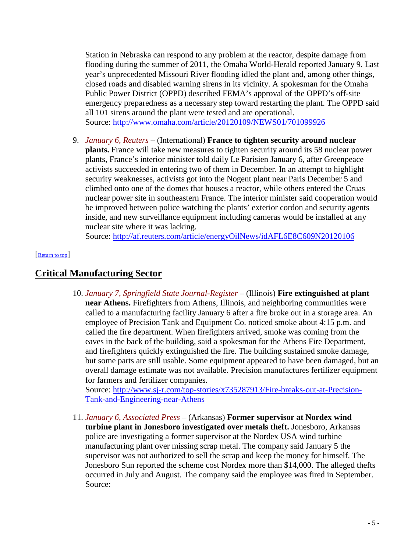Station in Nebraska can respond to any problem at the reactor, despite damage from flooding during the summer of 2011, the Omaha World-Herald reported January 9. Last year's unprecedented Missouri River flooding idled the plant and, among other things, closed roads and disabled warning sirens in its vicinity. A spokesman for the Omaha Public Power District (OPPD) described FEMA's approval of the OPPD's off-site emergency preparedness as a necessary step toward restarting the plant. The OPPD said all 101 sirens around the plant were tested and are operational. Source:<http://www.omaha.com/article/20120109/NEWS01/701099926>

9. *January 6, Reuters* – (International) **France to tighten security around nuclear plants.** France will take new measures to tighten security around its 58 nuclear power plants, France's interior minister told daily Le Parisien January 6, after Greenpeace activists succeeded in entering two of them in December. In an attempt to highlight security weaknesses, activists got into the Nogent plant near Paris December 5 and climbed onto one of the domes that houses a reactor, while others entered the Cruas nuclear power site in southeastern France. The interior minister said cooperation would be improved between police watching the plants' exterior cordon and security agents inside, and new surveillance equipment including cameras would be installed at any nuclear site where it was lacking.

<span id="page-4-0"></span>Source:<http://af.reuters.com/article/energyOilNews/idAFL6E8C609N20120106>

### [\[Return to top\]](#page-0-1)

# <span id="page-4-1"></span>**Critical Manufacturing Sector**

10. *January 7, Springfield State Journal-Register* – (Illinois) **Fire extinguished at plant near Athens.** Firefighters from Athens, Illinois, and neighboring communities were called to a manufacturing facility January 6 after a fire broke out in a storage area. An employee of Precision Tank and Equipment Co. noticed smoke about 4:15 p.m. and called the fire department. When firefighters arrived, smoke was coming from the eaves in the back of the building, said a spokesman for the Athens Fire Department, and firefighters quickly extinguished the fire. The building sustained smoke damage, but some parts are still usable. Some equipment appeared to have been damaged, but an overall damage estimate was not available. Precision manufactures fertilizer equipment for farmers and fertilizer companies.

Source: [http://www.sj-r.com/top-stories/x735287913/Fire-breaks-out-at-Precision-](http://www.sj-r.com/top-stories/x735287913/Fire-breaks-out-at-Precision-Tank-and-Engineering-near-Athens)[Tank-and-Engineering-near-Athens](http://www.sj-r.com/top-stories/x735287913/Fire-breaks-out-at-Precision-Tank-and-Engineering-near-Athens)

11. *January 6, Associated Press* – (Arkansas) **Former supervisor at Nordex wind turbine plant in Jonesboro investigated over metals theft.** Jonesboro, Arkansas police are investigating a former supervisor at the Nordex USA wind turbine manufacturing plant over missing scrap metal. The company said January 5 the supervisor was not authorized to sell the scrap and keep the money for himself. The Jonesboro Sun reported the scheme cost Nordex more than \$14,000. The alleged thefts occurred in July and August. The company said the employee was fired in September. Source: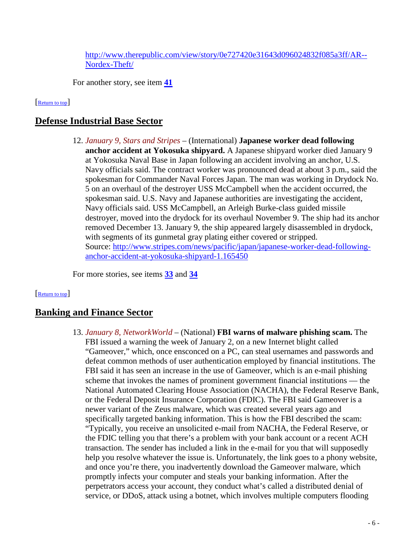[http://www.therepublic.com/view/story/0e727420e31643d096024832f085a3ff/AR--](http://www.therepublic.com/view/story/0e727420e31643d096024832f085a3ff/AR--Nordex-Theft/) [Nordex-Theft/](http://www.therepublic.com/view/story/0e727420e31643d096024832f085a3ff/AR--Nordex-Theft/)

<span id="page-5-1"></span>For another story, see item **[41](#page-16-0)**

### [\[Return to top\]](#page-0-1)

## **Defense Industrial Base Sector**

12. *January 9, Stars and Stripes* – (International) **Japanese worker dead following anchor accident at Yokosuka shipyard.** A Japanese shipyard worker died January 9 at Yokosuka Naval Base in Japan following an accident involving an anchor, U.S. Navy officials said. The contract worker was pronounced dead at about 3 p.m., said the spokesman for Commander Naval Forces Japan. The man was working in Drydock No. 5 on an overhaul of the destroyer USS McCampbell when the accident occurred, the spokesman said. U.S. Navy and Japanese authorities are investigating the accident, Navy officials said. USS McCampbell, an Arleigh Burke-class guided missile destroyer, moved into the drydock for its overhaul November 9. The ship had its anchor removed December 13. January 9, the ship appeared largely disassembled in drydock, with segments of its gunmetal gray plating either covered or stripped. Source: [http://www.stripes.com/news/pacific/japan/japanese-worker-dead-following](http://www.stripes.com/news/pacific/japan/japanese-worker-dead-following-anchor-accident-at-yokosuka-shipyard-1.165450)[anchor-accident-at-yokosuka-shipyard-1.165450](http://www.stripes.com/news/pacific/japan/japanese-worker-dead-following-anchor-accident-at-yokosuka-shipyard-1.165450)

<span id="page-5-0"></span>For more stories, see items **[33](#page-13-0)** and **[34](#page-14-1)**

### Return to top

## <span id="page-5-2"></span>**Banking and Finance Sector**

13. *January 8, NetworkWorld* – (National) **FBI warns of malware phishing scam.** The FBI issued a warning the week of January 2, on a new Internet blight called "Gameover," which, once ensconced on a PC, can steal usernames and passwords and defeat common methods of user authentication employed by financial institutions. The FBI said it has seen an increase in the use of Gameover, which is an e-mail phishing scheme that invokes the names of prominent government financial institutions — the National Automated Clearing House Association (NACHA), the Federal Reserve Bank, or the Federal Deposit Insurance Corporation (FDIC). The FBI said Gameover is a newer variant of the Zeus malware, which was created several years ago and specifically targeted banking information. This is how the FBI described the scam: "Typically, you receive an unsolicited e-mail from NACHA, the Federal Reserve, or the FDIC telling you that there's a problem with your bank account or a recent ACH transaction. The sender has included a link in the e-mail for you that will supposedly help you resolve whatever the issue is. Unfortunately, the link goes to a phony website, and once you're there, you inadvertently download the Gameover malware, which promptly infects your computer and steals your banking information. After the perpetrators access your account, they conduct what's called a distributed denial of service, or DDoS, attack using a botnet, which involves multiple computers flooding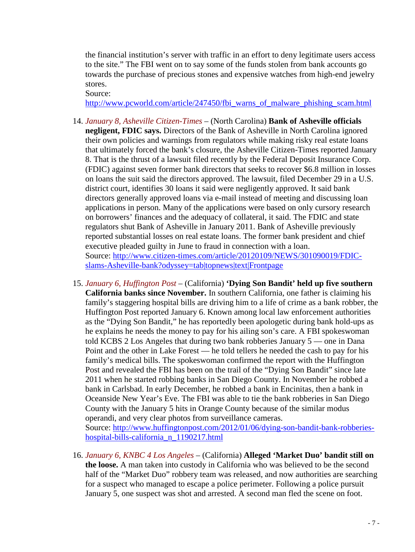the financial institution's server with traffic in an effort to deny legitimate users access to the site." The FBI went on to say some of the funds stolen from bank accounts go towards the purchase of precious stones and expensive watches from high-end jewelry stores.

Source: [http://www.pcworld.com/article/247450/fbi\\_warns\\_of\\_malware\\_phishing\\_scam.html](http://www.pcworld.com/article/247450/fbi_warns_of_malware_phishing_scam.html)

- 14. *January 8, Asheville Citizen-Times* (North Carolina) **Bank of Asheville officials**
- **negligent, FDIC says.** Directors of the Bank of Asheville in North Carolina ignored their own policies and warnings from regulators while making risky real estate loans that ultimately forced the bank's closure, the Asheville Citizen-Times reported January 8. That is the thrust of a lawsuit filed recently by the Federal Deposit Insurance Corp. (FDIC) against seven former bank directors that seeks to recover \$6.8 million in losses on loans the suit said the directors approved. The lawsuit, filed December 29 in a U.S. district court, identifies 30 loans it said were negligently approved. It said bank directors generally approved loans via e-mail instead of meeting and discussing loan applications in person. Many of the applications were based on only cursory research on borrowers' finances and the adequacy of collateral, it said. The FDIC and state regulators shut Bank of Asheville in January 2011. Bank of Asheville previously reported substantial losses on real estate loans. The former bank president and chief executive pleaded guilty in June to fraud in connection with a loan. Source: [http://www.citizen-times.com/article/20120109/NEWS/301090019/FDIC](http://www.citizen-times.com/article/20120109/NEWS/301090019/FDIC-slams-Asheville-bank?odyssey=tab|topnews|text|Frontpage)[slams-Asheville-bank?odyssey=tab|topnews|text|Frontpage](http://www.citizen-times.com/article/20120109/NEWS/301090019/FDIC-slams-Asheville-bank?odyssey=tab|topnews|text|Frontpage)
- 15. *January 6, Huffington Post* (California) **'Dying Son Bandit' held up five southern California banks since November.** In southern California, one father is claiming his family's staggering hospital bills are driving him to a life of crime as a bank robber, the Huffington Post reported January 6. Known among local law enforcement authorities as the "Dying Son Bandit," he has reportedly been apologetic during bank hold-ups as he explains he needs the money to pay for his ailing son's care. A FBI spokeswoman told KCBS 2 Los Angeles that during two bank robberies January 5 — one in Dana Point and the other in Lake Forest — he told tellers he needed the cash to pay for his family's medical bills. The spokeswoman confirmed the report with the Huffington Post and revealed the FBI has been on the trail of the "Dying Son Bandit" since late 2011 when he started robbing banks in San Diego County. In November he robbed a bank in Carlsbad. In early December, he robbed a bank in Encinitas, then a bank in Oceanside New Year's Eve. The FBI was able to tie the bank robberies in San Diego County with the January 5 hits in Orange County because of the similar modus operandi, and very clear photos from surveillance cameras. Source: [http://www.huffingtonpost.com/2012/01/06/dying-son-bandit-bank-robberies-](http://www.huffingtonpost.com/2012/01/06/dying-son-bandit-bank-robberies-hospital-bills-california_n_1190217.html)

[hospital-bills-california\\_n\\_1190217.html](http://www.huffingtonpost.com/2012/01/06/dying-son-bandit-bank-robberies-hospital-bills-california_n_1190217.html)

16. *January 6, KNBC 4 Los Angeles* – (California) **Alleged 'Market Duo' bandit still on the loose.** A man taken into custody in California who was believed to be the second half of the "Market Duo" robbery team was released, and now authorities are searching for a suspect who managed to escape a police perimeter. Following a police pursuit January 5, one suspect was shot and arrested. A second man fled the scene on foot.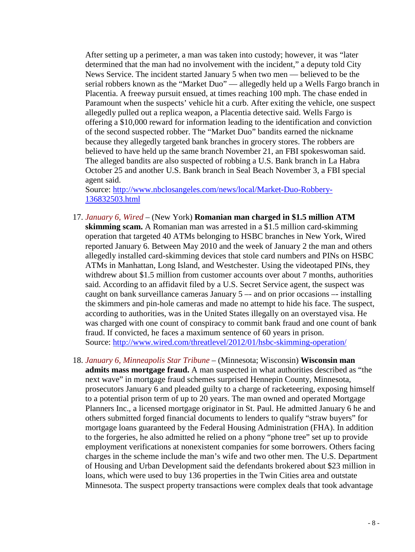After setting up a perimeter, a man was taken into custody; however, it was "later determined that the man had no involvement with the incident," a deputy told City News Service. The incident started January 5 when two men — believed to be the serial robbers known as the "Market Duo" — allegedly held up a Wells Fargo branch in Placentia. A freeway pursuit ensued, at times reaching 100 mph. The chase ended in Paramount when the suspects' vehicle hit a curb. After exiting the vehicle, one suspect allegedly pulled out a replica weapon, a Placentia detective said. Wells Fargo is offering a \$10,000 reward for information leading to the identification and conviction of the second suspected robber. The "Market Duo" bandits earned the nickname because they allegedly targeted bank branches in grocery stores. The robbers are believed to have held up the same branch November 21, an FBI spokeswoman said. The alleged bandits are also suspected of robbing a U.S. Bank branch in La Habra October 25 and another U.S. Bank branch in Seal Beach November 3, a FBI special agent said.

Source: [http://www.nbclosangeles.com/news/local/Market-Duo-Robbery-](http://www.nbclosangeles.com/news/local/Market-Duo-Robbery-136832503.html)[136832503.html](http://www.nbclosangeles.com/news/local/Market-Duo-Robbery-136832503.html)

- 17. *January 6, Wired* (New York) **Romanian man charged in \$1.5 million ATM skimming scam.** A Romanian man was arrested in a \$1.5 million card-skimming operation that targeted 40 ATMs belonging to HSBC branches in New York, Wired reported January 6. Between May 2010 and the week of January 2 the man and others allegedly installed card-skimming devices that stole card numbers and PINs on HSBC ATMs in Manhattan, Long Island, and Westchester. Using the videotaped PINs, they withdrew about \$1.5 million from customer accounts over about 7 months, authorities said. According to an affidavit filed by a U.S. Secret Service agent, the suspect was caught on bank surveillance cameras January 5 –- and on prior occasions –- installing the skimmers and pin-hole cameras and made no attempt to hide his face. The suspect, according to authorities, was in the United States illegally on an overstayed visa. He was charged with one count of conspiracy to commit bank fraud and one count of bank fraud. If convicted, he faces a maximum sentence of 60 years in prison. Source:<http://www.wired.com/threatlevel/2012/01/hsbc-skimming-operation/>
- 18. *January 6, Minneapolis Star Tribune* (Minnesota; Wisconsin) **Wisconsin man admits mass mortgage fraud.** A man suspected in what authorities described as "the next wave" in mortgage fraud schemes surprised Hennepin County, Minnesota, prosecutors January 6 and pleaded guilty to a charge of racketeering, exposing himself to a potential prison term of up to 20 years. The man owned and operated Mortgage Planners Inc., a licensed mortgage originator in St. Paul. He admitted January 6 he and others submitted forged financial documents to lenders to qualify "straw buyers" for mortgage loans guaranteed by the Federal Housing Administration (FHA). In addition to the forgeries, he also admitted he relied on a phony "phone tree" set up to provide employment verifications at nonexistent companies for some borrowers. Others facing charges in the scheme include the man's wife and two other men. The U.S. Department of Housing and Urban Development said the defendants brokered about \$23 million in loans, which were used to buy 136 properties in the Twin Cities area and outstate Minnesota. The suspect property transactions were complex deals that took advantage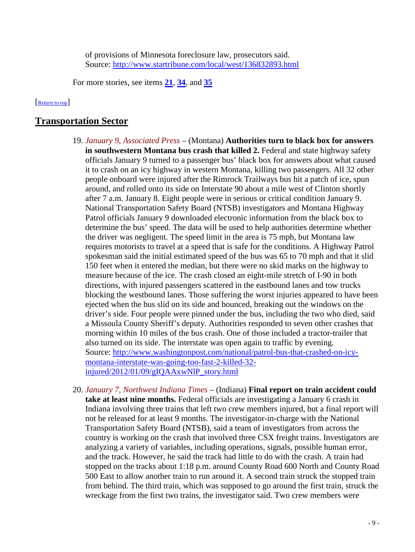of provisions of Minnesota foreclosure law, prosecutors said. Source:<http://www.startribune.com/local/west/136832893.html>

<span id="page-8-0"></span>For more stories, see items **[21](#page-9-2)**, **[34](#page-14-1)**, and **[35](#page-14-2)**

#### [\[Return to top\]](#page-0-1)

### **Transportation Sector**

- 19. *January 9, Associated Press* (Montana) **Authorities turn to black box for answers in southwestern Montana bus crash that killed 2.** Federal and state highway safety officials January 9 turned to a passenger bus' black box for answers about what caused it to crash on an icy highway in western Montana, killing two passengers. All 32 other people onboard were injured after the Rimrock Trailways bus hit a patch of ice, spun around, and rolled onto its side on Interstate 90 about a mile west of Clinton shortly after 7 a.m. January 8. Eight people were in serious or critical condition January 9. National Transportation Safety Board (NTSB) investigators and Montana Highway Patrol officials January 9 downloaded electronic information from the black box to determine the bus' speed. The data will be used to help authorities determine whether the driver was negligent. The speed limit in the area is 75 mph, but Montana law requires motorists to travel at a speed that is safe for the conditions. A Highway Patrol spokesman said the initial estimated speed of the bus was 65 to 70 mph and that it slid 150 feet when it entered the median, but there were no skid marks on the highway to measure because of the ice. The crash closed an eight-mile stretch of I-90 in both directions, with injured passengers scattered in the eastbound lanes and tow trucks blocking the westbound lanes. Those suffering the worst injuries appeared to have been ejected when the bus slid on its side and bounced, breaking out the windows on the driver's side. Four people were pinned under the bus, including the two who died, said a Missoula County Sheriff's deputy. Authorities responded to seven other crashes that morning within 10 miles of the bus crash. One of those included a tractor-trailer that also turned on its side. The interstate was open again to traffic by evening. Source: [http://www.washingtonpost.com/national/patrol-bus-that-crashed-on-icy](http://www.washingtonpost.com/national/patrol-bus-that-crashed-on-icy-montana-interstate-was-going-too-fast-2-killed-32-injured/2012/01/09/gIQAAxwNlP_story.html)[montana-interstate-was-going-too-fast-2-killed-32](http://www.washingtonpost.com/national/patrol-bus-that-crashed-on-icy-montana-interstate-was-going-too-fast-2-killed-32-injured/2012/01/09/gIQAAxwNlP_story.html) [injured/2012/01/09/gIQAAxwNlP\\_story.html](http://www.washingtonpost.com/national/patrol-bus-that-crashed-on-icy-montana-interstate-was-going-too-fast-2-killed-32-injured/2012/01/09/gIQAAxwNlP_story.html)
- 20. *January 7, Northwest Indiana Times* (Indiana) **Final report on train accident could take at least nine months.** Federal officials are investigating a January 6 crash in Indiana involving three trains that left two crew members injured, but a final report will not be released for at least 9 months. The investigator-in-charge with the National Transportation Safety Board (NTSB), said a team of investigators from across the country is working on the crash that involved three CSX freight trains. Investigators are analyzing a variety of variables, including operations, signals, possible human error, and the track. However, he said the track had little to do with the crash. A train had stopped on the tracks about 1:18 p.m. around County Road 600 North and County Road 500 East to allow another train to run around it. A second train struck the stopped train from behind. The third train, which was supposed to go around the first train, struck the wreckage from the first two trains, the investigator said. Two crew members were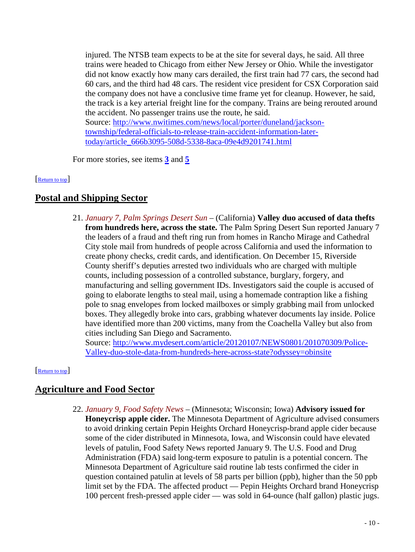injured. The NTSB team expects to be at the site for several days, he said. All three trains were headed to Chicago from either New Jersey or Ohio. While the investigator did not know exactly how many cars derailed, the first train had 77 cars, the second had 60 cars, and the third had 48 cars. The resident vice president for CSX Corporation said the company does not have a conclusive time frame yet for cleanup. However, he said, the track is a key arterial freight line for the company. Trains are being rerouted around the accident. No passenger trains use the route, he said. Source: [http://www.nwitimes.com/news/local/porter/duneland/jackson](http://www.nwitimes.com/news/local/porter/duneland/jackson-township/federal-officials-to-release-train-accident-information-later-today/article_666b3095-508d-5338-8aca-09e4d9201741.html)[township/federal-officials-to-release-train-accident-information-later](http://www.nwitimes.com/news/local/porter/duneland/jackson-township/federal-officials-to-release-train-accident-information-later-today/article_666b3095-508d-5338-8aca-09e4d9201741.html)[today/article\\_666b3095-508d-5338-8aca-09e4d9201741.html](http://www.nwitimes.com/news/local/porter/duneland/jackson-township/federal-officials-to-release-train-accident-information-later-today/article_666b3095-508d-5338-8aca-09e4d9201741.html)

<span id="page-9-0"></span>For more stories, see items **[3](#page-1-0)** and **[5](#page-2-0)**

### [\[Return to top\]](#page-0-1)

# <span id="page-9-2"></span>**Postal and Shipping Sector**

21. *January 7, Palm Springs Desert Sun* – (California) **Valley duo accused of data thefts from hundreds here, across the state.** The Palm Spring Desert Sun reported January 7 the leaders of a fraud and theft ring run from homes in Rancho Mirage and Cathedral City stole mail from hundreds of people across California and used the information to create phony checks, credit cards, and identification. On December 15, Riverside County sheriff's deputies arrested two individuals who are charged with multiple counts, including possession of a controlled substance, burglary, forgery, and manufacturing and selling government IDs. Investigators said the couple is accused of going to elaborate lengths to steal mail, using a homemade contraption like a fishing pole to snag envelopes from locked mailboxes or simply grabbing mail from unlocked boxes. They allegedly broke into cars, grabbing whatever documents lay inside. Police have identified more than 200 victims, many from the Coachella Valley but also from cities including San Diego and Sacramento.

<span id="page-9-1"></span>Source: [http://www.mydesert.com/article/20120107/NEWS0801/201070309/Police-](http://www.mydesert.com/article/20120107/NEWS0801/201070309/Police-Valley-duo-stole-data-from-hundreds-here-across-state?odyssey=obinsite)[Valley-duo-stole-data-from-hundreds-here-across-state?odyssey=obinsite](http://www.mydesert.com/article/20120107/NEWS0801/201070309/Police-Valley-duo-stole-data-from-hundreds-here-across-state?odyssey=obinsite)

[\[Return to top\]](#page-0-1) 

# **Agriculture and Food Sector**

22. *January 9, Food Safety News* – (Minnesota; Wisconsin; Iowa) **Advisory issued for Honeycrisp apple cider.** The Minnesota Department of Agriculture advised consumers to avoid drinking certain Pepin Heights Orchard Honeycrisp-brand apple cider because some of the cider distributed in Minnesota, Iowa, and Wisconsin could have elevated levels of patulin, Food Safety News reported January 9. The U.S. Food and Drug Administration (FDA) said long-term exposure to patulin is a potential concern. The Minnesota Department of Agriculture said routine lab tests confirmed the cider in question contained patulin at levels of 58 parts per billion (ppb), higher than the 50 ppb limit set by the FDA. The affected product — Pepin Heights Orchard brand Honeycrisp 100 percent fresh-pressed apple cider — was sold in 64-ounce (half gallon) plastic jugs.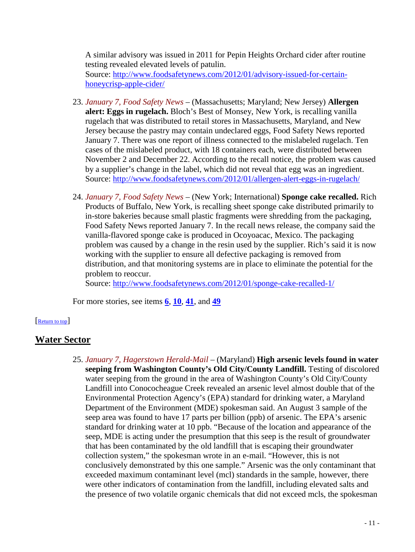A similar advisory was issued in 2011 for Pepin Heights Orchard cider after routine testing revealed elevated levels of patulin. Source: [http://www.foodsafetynews.com/2012/01/advisory-issued-for-certain](http://www.foodsafetynews.com/2012/01/advisory-issued-for-certain-honeycrisp-apple-cider/)[honeycrisp-apple-cider/](http://www.foodsafetynews.com/2012/01/advisory-issued-for-certain-honeycrisp-apple-cider/)

- 23. *January 7, Food Safety News* (Massachusetts; Maryland; New Jersey) **Allergen alert: Eggs in rugelach.** Bloch's Best of Monsey, New York, is recalling vanilla rugelach that was distributed to retail stores in Massachusetts, Maryland, and New Jersey because the pastry may contain undeclared eggs, Food Safety News reported January 7. There was one report of illness connected to the mislabeled rugelach. Ten cases of the mislabeled product, with 18 containers each, were distributed between November 2 and December 22. According to the recall notice, the problem was caused by a supplier's change in the label, which did not reveal that egg was an ingredient. Source:<http://www.foodsafetynews.com/2012/01/allergen-alert-eggs-in-rugelach/>
- 24. *January 7, Food Safety News* (New York; International) **Sponge cake recalled.** Rich Products of Buffalo, New York, is recalling sheet sponge cake distributed primarily to in-store bakeries because small plastic fragments were shredding from the packaging, Food Safety News reported January 7. In the recall news release, the company said the vanilla-flavored sponge cake is produced in Ocoyoacac, Mexico. The packaging problem was caused by a change in the resin used by the supplier. Rich's said it is now working with the supplier to ensure all defective packaging is removed from distribution, and that monitoring systems are in place to eliminate the potential for the problem to reoccur.

Source:<http://www.foodsafetynews.com/2012/01/sponge-cake-recalled-1/>

<span id="page-10-0"></span>For more stories, see items **[6](#page-3-2)**, **[10](#page-4-1)**, **[41](#page-16-0)**, and **[49](#page-18-0)**

### [\[Return to top\]](#page-0-1)

### **Water Sector**

25. *January 7, Hagerstown Herald-Mail* – (Maryland) **High arsenic levels found in water seeping from Washington County's Old City/County Landfill.** Testing of discolored water seeping from the ground in the area of Washington County's Old City/County Landfill into Conococheague Creek revealed an arsenic level almost double that of the Environmental Protection Agency's (EPA) standard for drinking water, a Maryland Department of the Environment (MDE) spokesman said. An August 3 sample of the seep area was found to have 17 parts per billion (ppb) of arsenic. The EPA's arsenic standard for drinking water at 10 ppb. "Because of the location and appearance of the seep, MDE is acting under the presumption that this seep is the result of groundwater that has been contaminated by the old landfill that is escaping their groundwater collection system," the spokesman wrote in an e-mail. "However, this is not conclusively demonstrated by this one sample." Arsenic was the only contaminant that exceeded maximum contaminant level (mcl) standards in the sample, however, there were other indicators of contamination from the landfill, including elevated salts and the presence of two volatile organic chemicals that did not exceed mcls, the spokesman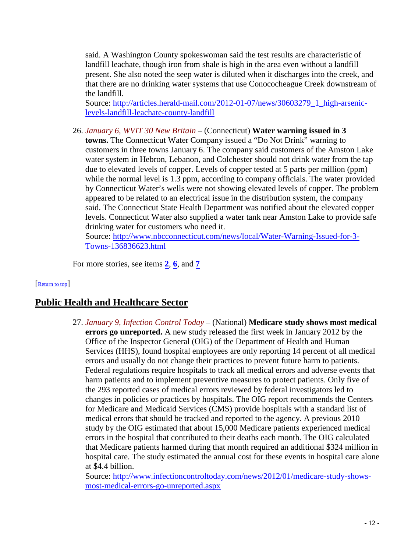said. A Washington County spokeswoman said the test results are characteristic of landfill leachate, though iron from shale is high in the area even without a landfill present. She also noted the seep water is diluted when it discharges into the creek, and that there are no drinking water systems that use Conococheague Creek downstream of the landfill.

Source: [http://articles.herald-mail.com/2012-01-07/news/30603279\\_1\\_high-arsenic](http://articles.herald-mail.com/2012-01-07/news/30603279_1_high-arsenic-levels-landfill-leachate-county-landfill)[levels-landfill-leachate-county-landfill](http://articles.herald-mail.com/2012-01-07/news/30603279_1_high-arsenic-levels-landfill-leachate-county-landfill)

26. *January 6, WVIT 30 New Britain* – (Connecticut) **Water warning issued in 3 towns.** The Connecticut Water Company issued a "Do Not Drink" warning to customers in three towns January 6. The company said customers of the Amston Lake water system in Hebron, Lebanon, and Colchester should not drink water from the tap due to elevated levels of copper. Levels of copper tested at 5 parts per million (ppm) while the normal level is 1.3 ppm, according to company officials. The water provided by Connecticut Water's wells were not showing elevated levels of copper. The problem appeared to be related to an electrical issue in the distribution system, the company said. The Connecticut State Health Department was notified about the elevated copper levels. Connecticut Water also supplied a water tank near Amston Lake to provide safe drinking water for customers who need it.

Source: [http://www.nbcconnecticut.com/news/local/Water-Warning-Issued-for-3-](http://www.nbcconnecticut.com/news/local/Water-Warning-Issued-for-3-Towns-136836623.html) [Towns-136836623.html](http://www.nbcconnecticut.com/news/local/Water-Warning-Issued-for-3-Towns-136836623.html)

<span id="page-11-0"></span>For more stories, see items **[2](#page-1-1)**, **[6](#page-3-2)**, and **[7](#page-3-3)**

### [\[Return to top\]](#page-0-1)

# **Public Health and Healthcare Sector**

27. *January 9, Infection Control Today* – (National) **Medicare study shows most medical errors go unreported.** A new study released the first week in January 2012 by the Office of the Inspector General (OIG) of the Department of Health and Human Services (HHS), found hospital employees are only reporting 14 percent of all medical errors and usually do not change their practices to prevent future harm to patients. Federal regulations require hospitals to track all medical errors and adverse events that harm patients and to implement preventive measures to protect patients. Only five of the 293 reported cases of medical errors reviewed by federal investigators led to changes in policies or practices by hospitals. The OIG report recommends the Centers for Medicare and Medicaid Services (CMS) provide hospitals with a standard list of medical errors that should be tracked and reported to the agency. A previous 2010 study by the OIG estimated that about 15,000 Medicare patients experienced medical errors in the hospital that contributed to their deaths each month. The OIG calculated that Medicare patients harmed during that month required an additional \$324 million in hospital care. The study estimated the annual cost for these events in hospital care alone at \$4.4 billion.

Source: [http://www.infectioncontroltoday.com/news/2012/01/medicare-study-shows](http://www.infectioncontroltoday.com/news/2012/01/medicare-study-shows-most-medical-errors-go-unreported.aspx)[most-medical-errors-go-unreported.aspx](http://www.infectioncontroltoday.com/news/2012/01/medicare-study-shows-most-medical-errors-go-unreported.aspx)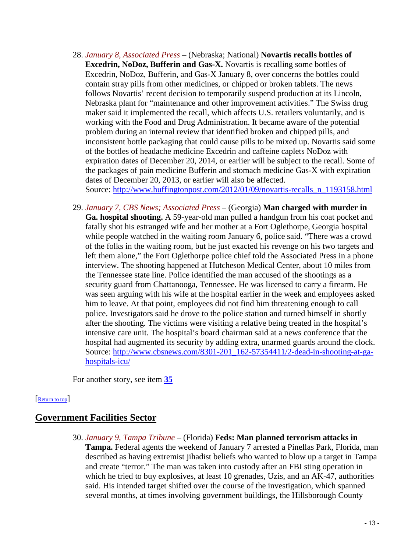- 28. *January 8, Associated Press* (Nebraska; National) **Novartis recalls bottles of Excedrin, NoDoz, Bufferin and Gas-X.** Novartis is recalling some bottles of Excedrin, NoDoz, Bufferin, and Gas-X January 8, over concerns the bottles could contain stray pills from other medicines, or chipped or broken tablets. The news follows Novartis' recent decision to temporarily suspend production at its Lincoln, Nebraska plant for "maintenance and other improvement activities." The Swiss drug maker said it implemented the recall, which affects U.S. retailers voluntarily, and is working with the Food and Drug Administration. It became aware of the potential problem during an internal review that identified broken and chipped pills, and inconsistent bottle packaging that could cause pills to be mixed up. Novartis said some of the bottles of headache medicine Excedrin and caffeine caplets NoDoz with expiration dates of December 20, 2014, or earlier will be subject to the recall. Some of the packages of pain medicine Bufferin and stomach medicine Gas-X with expiration dates of December 20, 2013, or earlier will also be affected. Source: [http://www.huffingtonpost.com/2012/01/09/novartis-recalls\\_n\\_1193158.html](http://www.huffingtonpost.com/2012/01/09/novartis-recalls_n_1193158.html)
- <span id="page-12-2"></span>29. *January 7, CBS News; Associated Press* – (Georgia) **Man charged with murder in Ga. hospital shooting.** A 59-year-old man pulled a handgun from his coat pocket and fatally shot his estranged wife and her mother at a Fort Oglethorpe, Georgia hospital while people watched in the waiting room January 6, police said. "There was a crowd of the folks in the waiting room, but he just exacted his revenge on his two targets and left them alone," the Fort Oglethorpe police chief told the Associated Press in a phone interview. The shooting happened at Hutcheson Medical Center, about 10 miles from the Tennessee state line. Police identified the man accused of the shootings as a security guard from Chattanooga, Tennessee. He was licensed to carry a firearm. He was seen arguing with his wife at the hospital earlier in the week and employees asked him to leave. At that point, employees did not find him threatening enough to call police. Investigators said he drove to the police station and turned himself in shortly after the shooting. The victims were visiting a relative being treated in the hospital's intensive care unit. The hospital's board chairman said at a news conference that the hospital had augmented its security by adding extra, unarmed guards around the clock. Source: [http://www.cbsnews.com/8301-201\\_162-57354411/2-dead-in-shooting-at-ga](http://www.cbsnews.com/8301-201_162-57354411/2-dead-in-shooting-at-ga-hospitals-icu/)[hospitals-icu/](http://www.cbsnews.com/8301-201_162-57354411/2-dead-in-shooting-at-ga-hospitals-icu/)

<span id="page-12-1"></span>For another story, see item **[35](#page-14-2)**

### [\[Return to top\]](#page-0-1)

## <span id="page-12-0"></span>**Government Facilities Sector**

30. *January 9, Tampa Tribune* – (Florida) **Feds: Man planned terrorism attacks in Tampa.** Federal agents the weekend of January 7 arrested a Pinellas Park, Florida, man described as having extremist jihadist beliefs who wanted to blow up a target in Tampa and create "terror." The man was taken into custody after an FBI sting operation in which he tried to buy explosives, at least 10 grenades, Uzis, and an AK-47, authorities said. His intended target shifted over the course of the investigation, which spanned several months, at times involving government buildings, the Hillsborough County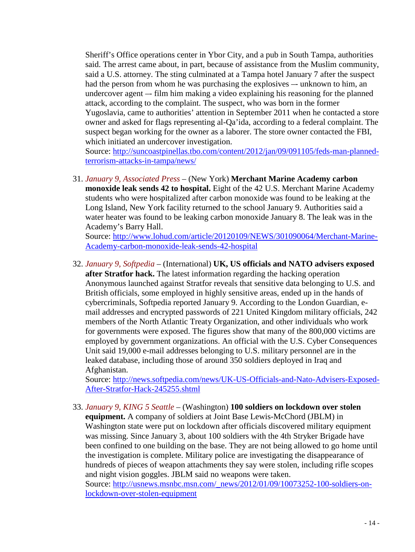Sheriff's Office operations center in Ybor City, and a pub in South Tampa, authorities said. The arrest came about, in part, because of assistance from the Muslim community, said a U.S. attorney. The sting culminated at a Tampa hotel January 7 after the suspect had the person from whom he was purchasing the explosives –- unknown to him, an undercover agent –- film him making a video explaining his reasoning for the planned attack, according to the complaint. The suspect, who was born in the former Yugoslavia, came to authorities' attention in September 2011 when he contacted a store owner and asked for flags representing al-Qa'ida, according to a federal complaint. The suspect began working for the owner as a laborer. The store owner contacted the FBI, which initiated an undercover investigation. Source: [http://suncoastpinellas.tbo.com/content/2012/jan/09/091105/feds-man-planned-](http://suncoastpinellas.tbo.com/content/2012/jan/09/091105/feds-man-planned-terrorism-attacks-in-tampa/news/)

[terrorism-attacks-in-tampa/news/](http://suncoastpinellas.tbo.com/content/2012/jan/09/091105/feds-man-planned-terrorism-attacks-in-tampa/news/)

31. *January 9, Associated Press* – (New York) **Merchant Marine Academy carbon monoxide leak sends 42 to hospital.** Eight of the 42 U.S. Merchant Marine Academy students who were hospitalized after carbon monoxide was found to be leaking at the Long Island, New York facility returned to the school January 9. Authorities said a water heater was found to be leaking carbon monoxide January 8. The leak was in the Academy's Barry Hall.

Source: [http://www.lohud.com/article/20120109/NEWS/301090064/Merchant-Marine-](http://www.lohud.com/article/20120109/NEWS/301090064/Merchant-Marine-Academy-carbon-monoxide-leak-sends-42-hospital)[Academy-carbon-monoxide-leak-sends-42-hospital](http://www.lohud.com/article/20120109/NEWS/301090064/Merchant-Marine-Academy-carbon-monoxide-leak-sends-42-hospital)

<span id="page-13-1"></span>32. *January 9, Softpedia* – (International) **UK, US officials and NATO advisers exposed after Stratfor hack.** The latest information regarding the hacking operation Anonymous launched against Stratfor reveals that sensitive data belonging to U.S. and British officials, some employed in highly sensitive areas, ended up in the hands of cybercriminals, Softpedia reported January 9. According to the London Guardian, email addresses and encrypted passwords of 221 United Kingdom military officials, 242 members of the North Atlantic Treaty Organization, and other individuals who work for governments were exposed. The figures show that many of the 800,000 victims are employed by government organizations. An official with the U.S. Cyber Consequences Unit said 19,000 e-mail addresses belonging to U.S. military personnel are in the leaked database, including those of around 350 soldiers deployed in Iraq and Afghanistan.

Source: [http://news.softpedia.com/news/UK-US-Officials-and-Nato-Advisers-Exposed-](http://news.softpedia.com/news/UK-US-Officials-and-Nato-Advisers-Exposed-After-Stratfor-Hack-245255.shtml)[After-Stratfor-Hack-245255.shtml](http://news.softpedia.com/news/UK-US-Officials-and-Nato-Advisers-Exposed-After-Stratfor-Hack-245255.shtml)

<span id="page-13-0"></span>33. *January 9, KING 5 Seattle* – (Washington) **100 soldiers on lockdown over stolen equipment.** A company of soldiers at Joint Base Lewis-McChord (JBLM) in Washington state were put on lockdown after officials discovered military equipment was missing. Since January 3, about 100 soldiers with the 4th Stryker Brigade have been confined to one building on the base. They are not being allowed to go home until the investigation is complete. Military police are investigating the disappearance of hundreds of pieces of weapon attachments they say were stolen, including rifle scopes and night vision goggles. JBLM said no weapons were taken. Source: [http://usnews.msnbc.msn.com/\\_news/2012/01/09/10073252-100-soldiers-on](http://usnews.msnbc.msn.com/_news/2012/01/09/10073252-100-soldiers-on-lockdown-over-stolen-equipment)[lockdown-over-stolen-equipment](http://usnews.msnbc.msn.com/_news/2012/01/09/10073252-100-soldiers-on-lockdown-over-stolen-equipment)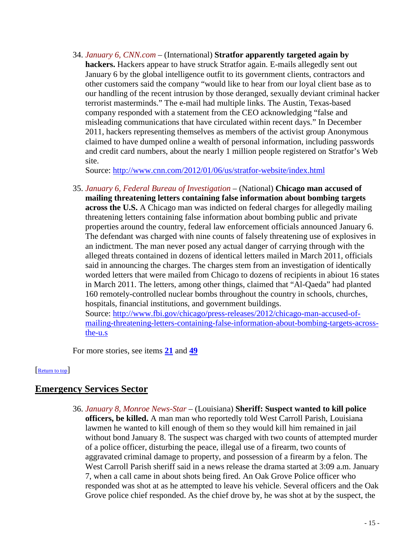<span id="page-14-1"></span>34. *January 6, CNN.com* – (International) **Stratfor apparently targeted again by hackers.** Hackers appear to have struck Stratfor again. E-mails allegedly sent out January 6 by the global intelligence outfit to its government clients, contractors and other customers said the company "would like to hear from our loyal client base as to our handling of the recent intrusion by those deranged, sexually deviant criminal hacker terrorist masterminds." The e-mail had multiple links. The Austin, Texas-based company responded with a statement from the CEO acknowledging "false and misleading communications that have circulated within recent days." In December 2011, hackers representing themselves as members of the activist group Anonymous claimed to have dumped online a wealth of personal information, including passwords and credit card numbers, about the nearly 1 million people registered on Stratfor's Web site.

Source:<http://www.cnn.com/2012/01/06/us/stratfor-website/index.html>

<span id="page-14-2"></span>35. *January 6, Federal Bureau of Investigation* – (National) **Chicago man accused of mailing threatening letters containing false information about bombing targets across the U.S.** A Chicago man was indicted on federal charges for allegedly mailing threatening letters containing false information about bombing public and private properties around the country, federal law enforcement officials announced January 6. The defendant was charged with nine counts of falsely threatening use of explosives in an indictment. The man never posed any actual danger of carrying through with the alleged threats contained in dozens of identical letters mailed in March 2011, officials said in announcing the charges. The charges stem from an investigation of identically worded letters that were mailed from Chicago to dozens of recipients in abiout 16 states in March 2011. The letters, among other things, claimed that "Al-Qaeda" had planted 160 remotely-controlled nuclear bombs throughout the country in schools, churches, hospitals, financial institutions, and government buildings.

Source: [http://www.fbi.gov/chicago/press-releases/2012/chicago-man-accused-of](http://www.fbi.gov/chicago/press-releases/2012/chicago-man-accused-of-mailing-threatening-letters-containing-false-information-about-bombing-targets-across-the-u.s)[mailing-threatening-letters-containing-false-information-about-bombing-targets-across](http://www.fbi.gov/chicago/press-releases/2012/chicago-man-accused-of-mailing-threatening-letters-containing-false-information-about-bombing-targets-across-the-u.s)[the-u.s](http://www.fbi.gov/chicago/press-releases/2012/chicago-man-accused-of-mailing-threatening-letters-containing-false-information-about-bombing-targets-across-the-u.s)

<span id="page-14-0"></span>For more stories, see items **[21](#page-9-2)** and **[49](#page-18-0)**

### [\[Return to top\]](#page-0-1)

# **Emergency Services Sector**

36. *January 8, Monroe News-Star* – (Louisiana) **Sheriff: Suspect wanted to kill police officers, be killed.** A man man who reportedly told West Carroll Parish, Louisiana lawmen he wanted to kill enough of them so they would kill him remained in jail without bond January 8. The suspect was charged with two counts of attempted murder of a police officer, disturbing the peace, illegal use of a firearm, two counts of aggravated criminal damage to property, and possession of a firearm by a felon. The West Carroll Parish sheriff said in a news release the drama started at 3:09 a.m. January 7, when a call came in about shots being fired. An Oak Grove Police officer who responded was shot at as he attempted to leave his vehicle. Several officers and the Oak Grove police chief responded. As the chief drove by, he was shot at by the suspect, the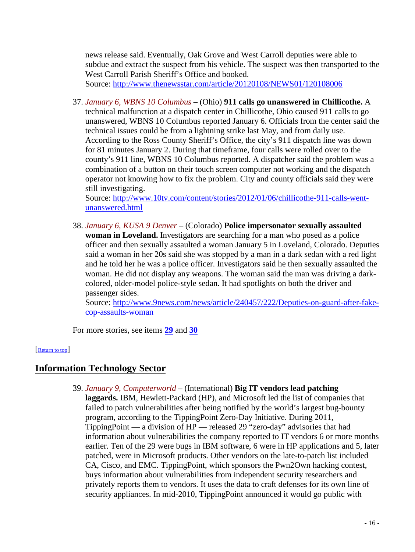news release said. Eventually, Oak Grove and West Carroll deputies were able to subdue and extract the suspect from his vehicle. The suspect was then transported to the West Carroll Parish Sheriff's Office and booked. Source:<http://www.thenewsstar.com/article/20120108/NEWS01/120108006>

37. *January 6, WBNS 10 Columbus* – (Ohio) **911 calls go unanswered in Chillicothe.** A technical malfunction at a dispatch center in Chillicothe, Ohio caused 911 calls to go unanswered, WBNS 10 Columbus reported January 6. Officials from the center said the technical issues could be from a lightning strike last May, and from daily use. According to the Ross County Sheriff's Office, the city's 911 dispatch line was down for 81 minutes January 2. During that timeframe, four calls were rolled over to the county's 911 line, WBNS 10 Columbus reported. A dispatcher said the problem was a combination of a button on their touch screen computer not working and the dispatch operator not knowing how to fix the problem. City and county officials said they were still investigating.

Source: [http://www.10tv.com/content/stories/2012/01/06/chillicothe-911-calls-went](http://www.10tv.com/content/stories/2012/01/06/chillicothe-911-calls-went-unanswered.html)[unanswered.html](http://www.10tv.com/content/stories/2012/01/06/chillicothe-911-calls-went-unanswered.html)

38. *January 6, KUSA 9 Denver* – (Colorado) **Police impersonator sexually assaulted woman in Loveland.** Investigators are searching for a man who posed as a police officer and then sexually assaulted a woman January 5 in Loveland, Colorado. Deputies said a woman in her 20s said she was stopped by a man in a dark sedan with a red light and he told her he was a police officer. Investigators said he then sexually assaulted the woman. He did not display any weapons. The woman said the man was driving a darkcolored, older-model police-style sedan. It had spotlights on both the driver and passenger sides.

Source: [http://www.9news.com/news/article/240457/222/Deputies-on-guard-after-fake](http://www.9news.com/news/article/240457/222/Deputies-on-guard-after-fake-cop-assaults-woman)[cop-assaults-woman](http://www.9news.com/news/article/240457/222/Deputies-on-guard-after-fake-cop-assaults-woman)

<span id="page-15-0"></span>For more stories, see items **[29](#page-12-2)** and **[30](#page-12-0)**

### [\[Return to top\]](#page-0-1)

## **Information Technology Sector**

- 39. *January 9, Computerworld* (International) **Big IT vendors lead patching** 
	- **laggards.** IBM, Hewlett-Packard (HP), and Microsoft led the list of companies that failed to patch vulnerabilities after being notified by the world's largest bug-bounty program, according to the TippingPoint Zero-Day Initiative. During 2011, TippingPoint — a division of HP — released 29 "zero-day" advisories that had information about vulnerabilities the company reported to IT vendors 6 or more months earlier. Ten of the 29 were bugs in IBM software, 6 were in HP applications and 5, later patched, were in Microsoft products. Other vendors on the late-to-patch list included CA, Cisco, and EMC. TippingPoint, which sponsors the Pwn2Own hacking contest, buys information about vulnerabilities from independent security researchers and privately reports them to vendors. It uses the data to craft defenses for its own line of security appliances. In mid-2010, TippingPoint announced it would go public with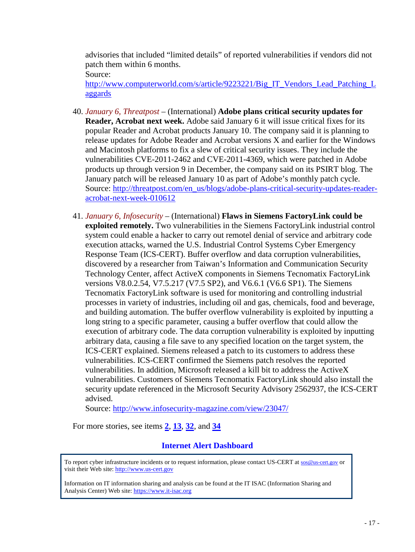advisories that included "limited details" of reported vulnerabilities if vendors did not patch them within 6 months.

Source:

[http://www.computerworld.com/s/article/9223221/Big\\_IT\\_Vendors\\_Lead\\_Patching\\_L](http://www.computerworld.com/s/article/9223221/Big_IT_Vendors_Lead_Patching_Laggards) [aggards](http://www.computerworld.com/s/article/9223221/Big_IT_Vendors_Lead_Patching_Laggards)

- 40. *January 6, Threatpost* (International) **Adobe plans critical security updates for Reader, Acrobat next week.** Adobe said January 6 it will issue critical fixes for its popular Reader and Acrobat products January 10. The company said it is planning to release updates for Adobe Reader and Acrobat versions X and earlier for the Windows and Macintosh platforms to fix a slew of critical security issues. They include the vulnerabilities CVE-2011-2462 and CVE-2011-4369, which were patched in Adobe products up through version 9 in December, the company said on its PSIRT blog. The January patch will be released January 10 as part of Adobe's monthly patch cycle. Source: [http://threatpost.com/en\\_us/blogs/adobe-plans-critical-security-updates-reader](http://threatpost.com/en_us/blogs/adobe-plans-critical-security-updates-reader-acrobat-next-week-010612)[acrobat-next-week-010612](http://threatpost.com/en_us/blogs/adobe-plans-critical-security-updates-reader-acrobat-next-week-010612)
- <span id="page-16-0"></span>41. *January 6, Infosecurity* – (International) **Flaws in Siemens FactoryLink could be exploited remotely.** Two vulnerabilities in the Siemens FactoryLink industrial control system could enable a hacker to carry out remotel denial of service and arbitrary code execution attacks, warned the U.S. Industrial Control Systems Cyber Emergency Response Team (ICS-CERT). Buffer overflow and data corruption vulnerabilities, discovered by a researcher from Taiwan's Information and Communication Security Technology Center, affect ActiveX components in Siemens Tecnomatix FactoryLink versions V8.0.2.54, V7.5.217 (V7.5 SP2), and V6.6.1 (V6.6 SP1). The Siemens Tecnomatix FactoryLink software is used for monitoring and controlling industrial processes in variety of industries, including oil and gas, chemicals, food and beverage, and building automation. The buffer overflow vulnerability is exploited by inputting a long string to a specific parameter, causing a buffer overflow that could allow the execution of arbitrary code. The data corruption vulnerability is exploited by inputting arbitrary data, causing a file save to any specified location on the target system, the ICS-CERT explained. Siemens released a patch to its customers to address these vulnerabilities. ICS-CERT confirmed the Siemens patch resolves the reported vulnerabilities. In addition, Microsoft released a kill bit to address the ActiveX vulnerabilities. Customers of Siemens Tecnomatix FactoryLink should also install the security update referenced in the Microsoft Security Advisory 2562937, the ICS-CERT advised.

Source:<http://www.infosecurity-magazine.com/view/23047/>

For more stories, see items **[2](#page-1-1)**, **[13](#page-5-2)**, **[32](#page-13-1)**, and **[34](#page-14-1)**

### **Internet Alert Dashboard**

To report cyber infrastructure incidents or to request information, please contact US-CERT at [sos@us-cert.gov](mailto:sos@us-cert.gov) or visit their Web site[: http://www.us-cert.gov](http://www.us-cert.gov/)

Information on IT information sharing and analysis can be found at the IT ISAC (Information Sharing and Analysis Center) Web site: [https://www.it-isac.org](https://www.it-isac.org/)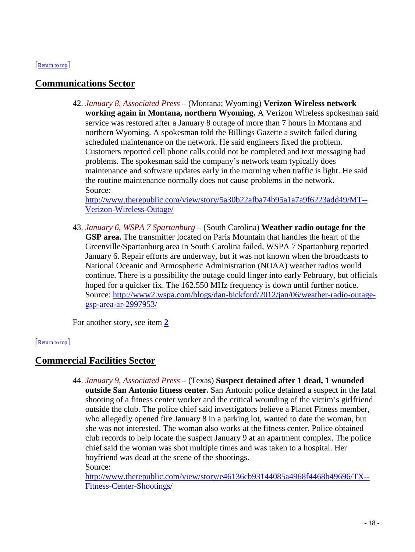#### <span id="page-17-0"></span>[\[Return to top\]](#page-0-1)

# **Communications Sector**

42. *January 8, Associated Press* – (Montana; Wyoming) **Verizon Wireless network working again in Montana, northern Wyoming.** A Verizon Wireless spokesman said service was restored after a January 8 outage of more than 7 hours in Montana and northern Wyoming. A spokesman told the Billings Gazette a switch failed during scheduled maintenance on the network. He said engineers fixed the problem. Customers reported cell phone calls could not be completed and text messaging had problems. The spokesman said the company's network team typically does maintenance and software updates early in the morning when traffic is light. He said the routine maintenance normally does not cause problems in the network. Source:

[http://www.therepublic.com/view/story/5a30b22afba74b95a1a7a9f6223add49/MT--](http://www.therepublic.com/view/story/5a30b22afba74b95a1a7a9f6223add49/MT--Verizon-Wireless-Outage/) [Verizon-Wireless-Outage/](http://www.therepublic.com/view/story/5a30b22afba74b95a1a7a9f6223add49/MT--Verizon-Wireless-Outage/)

43. *January 6, WSPA 7 Spartanburg* – (South Carolina) **Weather radio outage for the GSP area.** The transmitter located on Paris Mountain that handles the heart of the Greenville/Spartanburg area in South Carolina failed, WSPA 7 Spartanburg reported January 6. Repair efforts are underway, but it was not known when the broadcasts to National Oceanic and Atmospheric Administration (NOAA) weather radios would continue. There is a possibility the outage could linger into early February, but officials hoped for a quicker fix. The 162.550 MHz frequency is down until further notice. Source: [http://www2.wspa.com/blogs/dan-bickford/2012/jan/06/weather-radio-outage](http://www2.wspa.com/blogs/dan-bickford/2012/jan/06/weather-radio-outage-gsp-area-ar-2997953/)[gsp-area-ar-2997953/](http://www2.wspa.com/blogs/dan-bickford/2012/jan/06/weather-radio-outage-gsp-area-ar-2997953/)

<span id="page-17-1"></span>For another story, see item **[2](#page-1-1)**

#### [\[Return to top\]](#page-0-1)

### **Commercial Facilities Sector**

44. *January 9, Associated Press* – (Texas) **Suspect detained after 1 dead, 1 wounded outside San Antonio fitness center.** San Antonio police detained a suspect in the fatal shooting of a fitness center worker and the critical wounding of the victim's girlfriend outside the club. The police chief said investigators believe a Planet Fitness member, who allegedly opened fire January 8 in a parking lot, wanted to date the woman, but she was not interested. The woman also works at the fitness center. Police obtained club records to help locate the suspect January 9 at an apartment complex. The police chief said the woman was shot multiple times and was taken to a hospital. Her boyfriend was dead at the scene of the shootings. Source:

[http://www.therepublic.com/view/story/e46136cb93144085a4968f4468b49696/TX--](http://www.therepublic.com/view/story/e46136cb93144085a4968f4468b49696/TX--Fitness-Center-Shootings/) [Fitness-Center-Shootings/](http://www.therepublic.com/view/story/e46136cb93144085a4968f4468b49696/TX--Fitness-Center-Shootings/)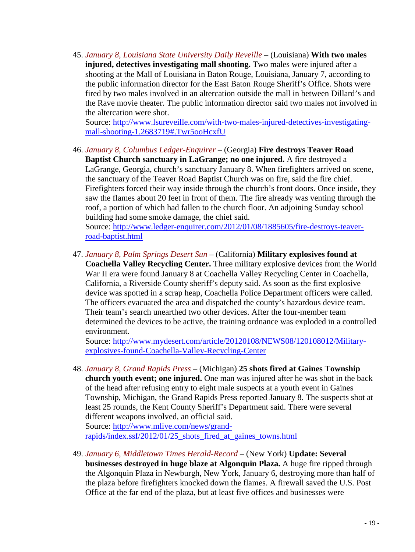45. *January 8, Louisiana State University Daily Reveille* – (Louisiana) **With two males injured, detectives investigating mall shooting.** Two males were injured after a shooting at the Mall of Louisiana in Baton Rouge, Louisiana, January 7, according to the public information director for the East Baton Rouge Sheriff's Office. Shots were fired by two males involved in an altercation outside the mall in between Dillard's and the Rave movie theater. The public information director said two males not involved in the altercation were shot.

Source: [http://www.lsureveille.com/with-two-males-injured-detectives-investigating](http://www.lsureveille.com/with-two-males-injured-detectives-investigating-mall-shooting-1.2683719#.Twr5ooHcxfU)[mall-shooting-1.2683719#.Twr5ooHcxfU](http://www.lsureveille.com/with-two-males-injured-detectives-investigating-mall-shooting-1.2683719#.Twr5ooHcxfU)

46. *January 8, Columbus Ledger-Enquirer* – (Georgia) **Fire destroys Teaver Road Baptist Church sanctuary in LaGrange; no one injured.** A fire destroyed a LaGrange, Georgia, church's sanctuary January 8. When firefighters arrived on scene, the sanctuary of the Teaver Road Baptist Church was on fire, said the fire chief. Firefighters forced their way inside through the church's front doors. Once inside, they saw the flames about 20 feet in front of them. The fire already was venting through the roof, a portion of which had fallen to the church floor. An adjoining Sunday school building had some smoke damage, the chief said. Source: [http://www.ledger-enquirer.com/2012/01/08/1885605/fire-destroys-teaver-](http://www.ledger-enquirer.com/2012/01/08/1885605/fire-destroys-teaver-road-baptist.html)

[road-baptist.html](http://www.ledger-enquirer.com/2012/01/08/1885605/fire-destroys-teaver-road-baptist.html)

47. *January 8, Palm Springs Desert Sun* – (California) **Military explosives found at Coachella Valley Recycling Center.** Three military explosive devices from the World War II era were found January 8 at Coachella Valley Recycling Center in Coachella, California, a Riverside County sheriff's deputy said. As soon as the first explosive device was spotted in a scrap heap, Coachella Police Department officers were called. The officers evacuated the area and dispatched the county's hazardous device team. Their team's search unearthed two other devices. After the four-member team determined the devices to be active, the training ordnance was exploded in a controlled environment.

Source: [http://www.mydesert.com/article/20120108/NEWS08/120108012/Military](http://www.mydesert.com/article/20120108/NEWS08/120108012/Military-explosives-found-Coachella-Valley-Recycling-Center)[explosives-found-Coachella-Valley-Recycling-Center](http://www.mydesert.com/article/20120108/NEWS08/120108012/Military-explosives-found-Coachella-Valley-Recycling-Center)

48. *January 8, Grand Rapids Press* – (Michigan) **25 shots fired at Gaines Township church youth event; one injured.** One man was injured after he was shot in the back of the head after refusing entry to eight male suspects at a youth event in Gaines Township, Michigan, the Grand Rapids Press reported January 8. The suspects shot at least 25 rounds, the Kent County Sheriff's Department said. There were several different weapons involved, an official said. Source: [http://www.mlive.com/news/grand-](http://www.mlive.com/news/grand-rapids/index.ssf/2012/01/25_shots_fired_at_gaines_towns.html)

[rapids/index.ssf/2012/01/25\\_shots\\_fired\\_at\\_gaines\\_towns.html](http://www.mlive.com/news/grand-rapids/index.ssf/2012/01/25_shots_fired_at_gaines_towns.html)

<span id="page-18-0"></span>49. *January 6, Middletown Times Herald-Record* – (New York) **Update: Several businesses destroyed in huge blaze at Algonquin Plaza.** A huge fire ripped through the Algonquin Plaza in Newburgh, New York, January 6, destroying more than half of the plaza before firefighters knocked down the flames. A firewall saved the U.S. Post Office at the far end of the plaza, but at least five offices and businesses were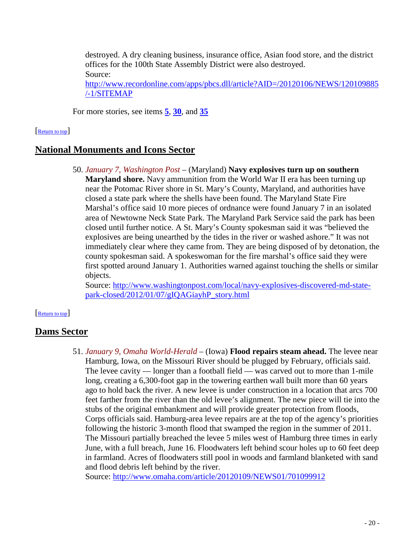destroyed. A dry cleaning business, insurance office, Asian food store, and the district offices for the 100th State Assembly District were also destroyed. Source:

[http://www.recordonline.com/apps/pbcs.dll/article?AID=/20120106/NEWS/120109885](http://www.recordonline.com/apps/pbcs.dll/article?AID=/20120106/NEWS/120109885/-1/SITEMAP) [/-1/SITEMAP](http://www.recordonline.com/apps/pbcs.dll/article?AID=/20120106/NEWS/120109885/-1/SITEMAP)

<span id="page-19-1"></span>For more stories, see items **[5](#page-2-0)**, **[30](#page-12-0)**, and **[35](#page-14-2)**

### [\[Return to top\]](#page-0-1)

### **National Monuments and Icons Sector**

50. *January 7, Washington Post* – (Maryland) **Navy explosives turn up on southern Maryland shore.** Navy ammunition from the World War II era has been turning up near the Potomac River shore in St. Mary's County, Maryland, and authorities have closed a state park where the shells have been found. The Maryland State Fire Marshal's office said 10 more pieces of ordnance were found January 7 in an isolated area of Newtowne Neck State Park. The Maryland Park Service said the park has been closed until further notice. A St. Mary's County spokesman said it was "believed the explosives are being unearthed by the tides in the river or washed ashore." It was not immediately clear where they came from. They are being disposed of by detonation, the county spokesman said. A spokeswoman for the fire marshal's office said they were first spotted around January 1. Authorities warned against touching the shells or similar objects.

<span id="page-19-0"></span>Source: [http://www.washingtonpost.com/local/navy-explosives-discovered-md-state](http://www.washingtonpost.com/local/navy-explosives-discovered-md-state-park-closed/2012/01/07/gIQAGiayhP_story.html)[park-closed/2012/01/07/gIQAGiayhP\\_story.html](http://www.washingtonpost.com/local/navy-explosives-discovered-md-state-park-closed/2012/01/07/gIQAGiayhP_story.html)

### [\[Return to top\]](#page-0-1)

## **Dams Sector**

51. *January 9, Omaha World-Herald* – (Iowa) **Flood repairs steam ahead.** The levee near Hamburg, Iowa, on the Missouri River should be plugged by February, officials said. The levee cavity — longer than a football field — was carved out to more than 1-mile long, creating a 6,300-foot gap in the towering earthen wall built more than 60 years ago to hold back the river. A new levee is under construction in a location that arcs 700 feet farther from the river than the old levee's alignment. The new piece will tie into the stubs of the original embankment and will provide greater protection from floods, Corps officials said. Hamburg-area levee repairs are at the top of the agency's priorities following the historic 3-month flood that swamped the region in the summer of 2011. The Missouri partially breached the levee 5 miles west of Hamburg three times in early June, with a full breach, June 16. Floodwaters left behind scour holes up to 60 feet deep in farmland. Acres of floodwaters still pool in woods and farmland blanketed with sand and flood debris left behind by the river.

Source:<http://www.omaha.com/article/20120109/NEWS01/701099912>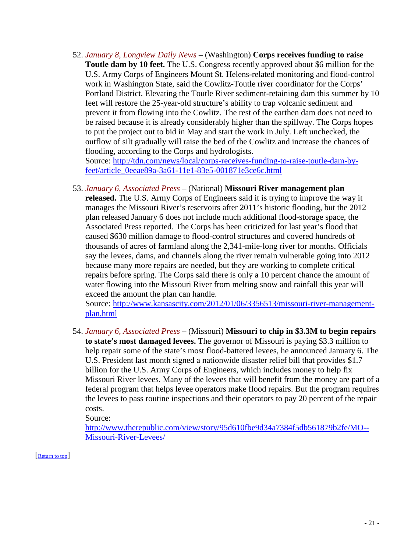52. *January 8, Longview Daily News* – (Washington) **Corps receives funding to raise Toutle dam by 10 feet.** The U.S. Congress recently approved about \$6 million for the U.S. Army Corps of Engineers Mount St. Helens-related monitoring and flood-control work in Washington State, said the Cowlitz-Toutle river coordinator for the Corps' Portland District. Elevating the Toutle River sediment-retaining dam this summer by 10 feet will restore the 25-year-old structure's ability to trap volcanic sediment and prevent it from flowing into the Cowlitz. The rest of the earthen dam does not need to be raised because it is already considerably higher than the spillway. The Corps hopes to put the project out to bid in May and start the work in July. Left unchecked, the outflow of silt gradually will raise the bed of the Cowlitz and increase the chances of flooding, according to the Corps and hydrologists.

Source: [http://tdn.com/news/local/corps-receives-funding-to-raise-toutle-dam-by](http://tdn.com/news/local/corps-receives-funding-to-raise-toutle-dam-by-feet/article_0eeae89a-3a61-11e1-83e5-001871e3ce6c.html)[feet/article\\_0eeae89a-3a61-11e1-83e5-001871e3ce6c.html](http://tdn.com/news/local/corps-receives-funding-to-raise-toutle-dam-by-feet/article_0eeae89a-3a61-11e1-83e5-001871e3ce6c.html)

53. *January 6, Associated Press* – (National) **Missouri River management plan released.** The U.S. Army Corps of Engineers said it is trying to improve the way it manages the Missouri River's reservoirs after 2011's historic flooding, but the 2012 plan released January 6 does not include much additional flood-storage space, the Associated Press reported. The Corps has been criticized for last year's flood that caused \$630 million damage to flood-control structures and covered hundreds of thousands of acres of farmland along the 2,341-mile-long river for months. Officials say the levees, dams, and channels along the river remain vulnerable going into 2012 because many more repairs are needed, but they are working to complete critical repairs before spring. The Corps said there is only a 10 percent chance the amount of water flowing into the Missouri River from melting snow and rainfall this year will exceed the amount the plan can handle.

Source: [http://www.kansascity.com/2012/01/06/3356513/missouri-river-management](http://www.kansascity.com/2012/01/06/3356513/missouri-river-management-plan.html)[plan.html](http://www.kansascity.com/2012/01/06/3356513/missouri-river-management-plan.html)

54. *January 6, Associated Press* – (Missouri) **Missouri to chip in \$3.3M to begin repairs to state's most damaged levees.** The governor of Missouri is paying \$3.3 million to help repair some of the state's most flood-battered levees, he announced January 6. The U.S. President last month signed a nationwide disaster relief bill that provides \$1.7 billion for the U.S. Army Corps of Engineers, which includes money to help fix Missouri River levees. Many of the levees that will benefit from the money are part of a federal program that helps levee operators make flood repairs. But the program requires the levees to pass routine inspections and their operators to pay 20 percent of the repair costs.

Source:

[http://www.therepublic.com/view/story/95d610fbe9d34a7384f5db561879b2fe/MO--](http://www.therepublic.com/view/story/95d610fbe9d34a7384f5db561879b2fe/MO--Missouri-River-Levees/) [Missouri-River-Levees/](http://www.therepublic.com/view/story/95d610fbe9d34a7384f5db561879b2fe/MO--Missouri-River-Levees/)

[\[Return to top\]](#page-0-1)